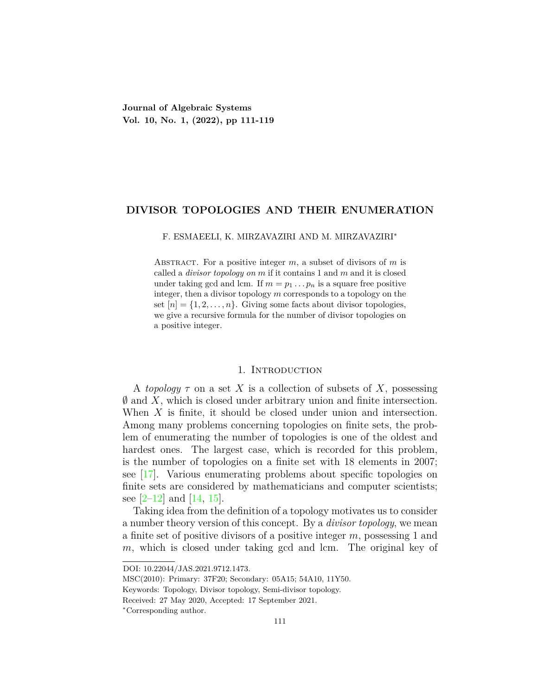# **DIVISOR TOPOLOGIES AND THEIR ENUMERATION**

## F. ESMAEELI, K. MIRZAVAZIRI AND M. MIRZAVAZIRI*∗*

Abstract. For a positive integer *m*, a subset of divisors of *m* is called a *divisor topology on m* if it contains 1 and *m* and it is closed under taking gcd and lcm. If  $m = p_1 \dots p_n$  is a square free positive integer, then a divisor topology *m* corresponds to a topology on the set  $[n] = \{1, 2, \ldots, n\}$ . Giving some facts about divisor topologies, we give a recursive formula for the number of divisor topologies on a positive integer.

### 1. INTRODUCTION

A *topology τ* on a set *X* is a collection of subsets of *X*, possessing *∅* and *X*, which is closed under arbitrary union and finite intersection. When *X* is finite, it should be closed under union and intersection. Among many problems concerning topologies on finite sets, the problem of enumerating the number of topologies is one of the oldest and hardest ones. The largest case, which is recorded for this problem, is the number of topologies on a finite set with 18 elements in 2007; see [[17\]](#page-8-0). Various enumerating problems about specific topologies on finite sets are considered by mathematicians and computer scientists; see  $[2-12]$  $[2-12]$  $[2-12]$  and  $[14, 15]$  $[14, 15]$ .

Taking idea from the definition of a topology motivates us to consider a number theory version of this concept. By a *divisor topology*, we mean a finite set of positive divisors of a positive integer *m*, possessing 1 and m, which is closed under taking gcd and lcm. The original key of

DOI: 10.22044/JAS.2021.9712.1473.

MSC(2010): Primary: 37F20; Secondary: 05A15; 54A10, 11Y50.

Keywords: Topology, Divisor topology, Semi-divisor topology.

Received: 27 May 2020, Accepted: 17 September 2021.

*<sup>∗</sup>*Corresponding author.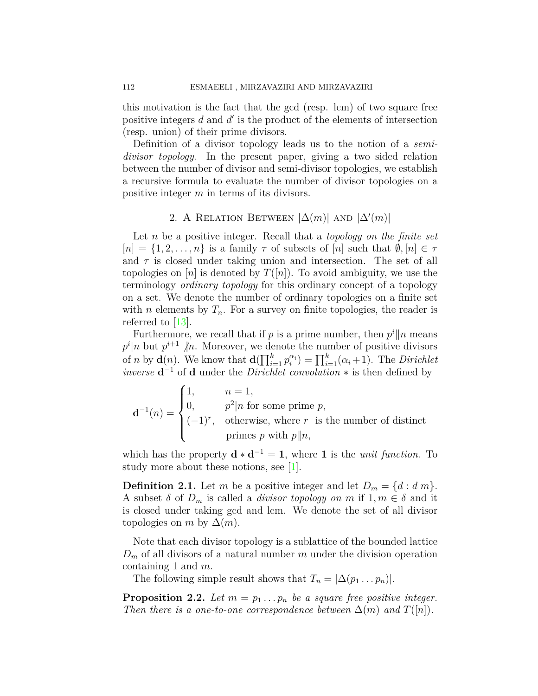this motivation is the fact that the gcd (resp. lcm) of two square free positive integers *d* and *d'* is the product of the elements of intersection (resp. union) of their prime divisors.

Definition of a divisor topology leads us to the notion of a *semidivisor topology*. In the present paper, giving a two sided relation between the number of divisor and semi-divisor topologies, we establish a recursive formula to evaluate the number of divisor topologies on a positive integer *m* in terms of its divisors.

# 2. A RELATION BETWEEN  $|\Delta(m)|$  AND  $|\Delta'(m)|$

Let *n* be a positive integer. Recall that a *topology on the finite set*  $[n] = \{1, 2, \ldots, n\}$  is a family  $\tau$  of subsets of  $[n]$  such that  $\emptyset, [n] \in \tau$ and  $\tau$  is closed under taking union and intersection. The set of all topologies on  $[n]$  is denoted by  $T([n])$ . To avoid ambiguity, we use the terminology *ordinary topology* for this ordinary concept of a topology on a set. We denote the number of ordinary topologies on a finite set with *n* elements by  $T_n$ . For a survey on finite topologies, the reader is referred to  $|13|$ .

Furthermore, we recall that if *p* is a prime number, then  $p^i || n$  means  $p^i|n$  but  $p^{i+1}$   $\not|n$ . Moreover, we denote the number of positive divisors of *n* by **d**(*n*). We know that  $\mathbf{d}(\prod_{i=1}^k p_i^{\alpha_i}) = \prod_{i=1}^k (\alpha_i + 1)$ . The *Dirichlet inverse* **d** *<sup>−</sup>*<sup>1</sup> of **d** under the *Dirichlet convolution ∗* is then defined by

$$
\mathbf{d}^{-1}(n) = \begin{cases} 1, & n = 1, \\ 0, & p^2|n \text{ for some prime } p, \\ (-1)^r, & \text{otherwise, where } r \text{ is the number of distinct primes } p \text{ with } p||n, \end{cases}
$$

which has the property  $\mathbf{d} \cdot \mathbf{d}^{-1} = 1$ , where 1 is the *unit function*. To studymore about these notions, see  $|1|$ .

**Definition 2.1.** Let *m* be a positive integer and let  $D_m = \{d : d|m\}$ . A subset  $\delta$  of  $D_m$  is called a *divisor topology on*  $m$  if  $1, m \in \delta$  and it is closed under taking gcd and lcm. We denote the set of all divisor topologies on *m* by  $\Delta(m)$ .

Note that each divisor topology is a sublattice of the bounded lattice  $D_m$  of all divisors of a natural number *m* under the division operation containing 1 and *m*.

The following simple result shows that  $T_n = |\Delta(p_1 \dots p_n)|$ .

**Proposition 2.2.** Let  $m = p_1 \ldots p_n$  be a square free positive integer. *Then there is a one-to-one correspondence between*  $\Delta(m)$  *and*  $T([n])$ *.*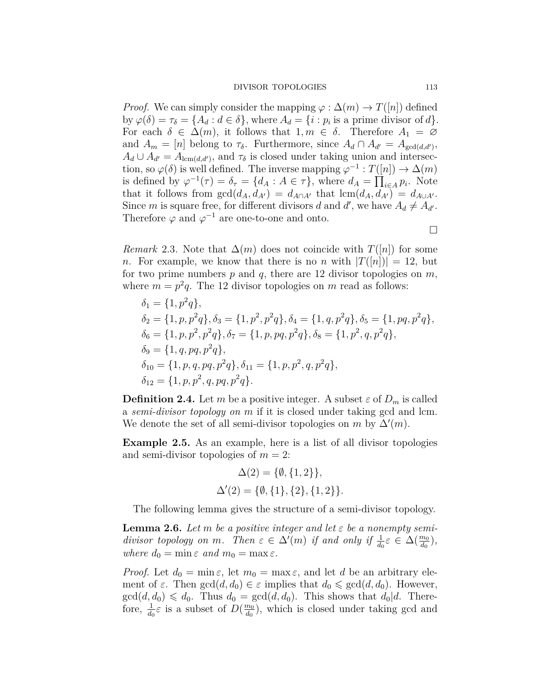*Proof.* We can simply consider the mapping  $\varphi : \Delta(m) \rightarrow T([n])$  defined by  $\varphi(\delta) = \tau_{\delta} = \{A_d : d \in \delta\}$ , where  $A_d = \{i : p_i \text{ is a prime divisor of } d\}.$ For each  $\delta \in \Delta(m)$ , it follows that  $1, m \in \delta$ . Therefore  $A_1 = \emptyset$ and  $A_m = [n]$  belong to  $\tau_{\delta}$ . Furthermore, since  $A_d \cap A_{d'} = A_{\gcd(d,d')}$ ,  $A_d \cup A_{d'} = A_{\text{lcm}(d,d')}$ , and  $\tau_{\delta}$  is closed under taking union and intersection, so  $\varphi(\delta)$  is well defined. The inverse mapping  $\varphi^{-1}: T([n]) \to \Delta(m)$ is defined by  $\varphi^{-1}(\tau) = \delta_{\tau} = \{d_A : A \in \tau\}$ , where  $d_A = \prod_{i \in A} p_i$ . Note that it follows from  $gcd(d_A, d_{A'}) = d_{A \cap A'}$  that  $lcm(d_A, d_{A'}) = d_{A \cup A'}$ . Since *m* is square free, for different divisors *d* and *d'*, we have  $A_d \neq A_{d'}$ . Therefore  $\varphi$  and  $\varphi^{-1}$  are one-to-one and onto.

*Remark* 2.3. Note that  $\Delta(m)$  does not coincide with  $T([n])$  for some *n*. For example, we know that there is no *n* with  $|T(|n|)| = 12$ , but for two prime numbers *p* and *q*, there are 12 divisor topologies on *m*, where  $m = p^2q$ . The 12 divisor topologies on *m* read as follows:

$$
\delta_1 = \{1, p^2q\},
$$
  
\n
$$
\delta_2 = \{1, p, p^2q\}, \delta_3 = \{1, p^2, p^2q\}, \delta_4 = \{1, q, p^2q\}, \delta_5 = \{1, pq, p^2q\},
$$
  
\n
$$
\delta_6 = \{1, p, p^2, p^2q\}, \delta_7 = \{1, p, pq, p^2q\}, \delta_8 = \{1, p^2, q, p^2q\},
$$
  
\n
$$
\delta_9 = \{1, q, pq, p^2q\},
$$
  
\n
$$
\delta_{10} = \{1, p, q, pq, p^2q\}, \delta_{11} = \{1, p, p^2, q, p^2q\},
$$
  
\n
$$
\delta_{12} = \{1, p, p^2, q, pq, p^2q\}.
$$

**Definition 2.4.** Let *m* be a positive integer. A subset  $\varepsilon$  of  $D_m$  is called a *semi-divisor topology on m* if it is closed under taking gcd and lcm. We denote the set of all semi-divisor topologies on  $m$  by  $\Delta'(m)$ .

**Example 2.5.** As an example, here is a list of all divisor topologies and semi-divisor topologies of  $m = 2$ :

$$
\Delta(2) = \{\emptyset, \{1, 2\}\},\
$$

$$
\Delta'(2) = \{\emptyset, \{1\}, \{2\}, \{1, 2\}\}.
$$

The following lemma gives the structure of a semi-divisor topology.

<span id="page-2-0"></span>**Lemma 2.6.** Let *m* be a positive integer and let  $\varepsilon$  be a nonempty semi*divisor topology on m.* Then  $\varepsilon \in \Delta'(m)$  *if and only if*  $\frac{1}{d_0} \varepsilon \in \Delta(\frac{m_0}{d_0})$ ,  $where d_0 = \min \varepsilon \ and m_0 = \max \varepsilon.$ 

*Proof.* Let  $d_0 = \min \varepsilon$ , let  $m_0 = \max \varepsilon$ , and let *d* be an arbitrary element of  $\varepsilon$ . Then  $gcd(d, d_0) \in \varepsilon$  implies that  $d_0 \leqslant gcd(d, d_0)$ . However,  $gcd(d, d_0) \leq d_0$ . Thus  $d_0 = gcd(d, d_0)$ . This shows that  $d_0 | d$ . Therefore,  $\frac{1}{d_0} \varepsilon$  is a subset of  $D(\frac{m_0}{d_0})$  $\frac{m_0}{d_0}$ ), which is closed under taking gcd and

□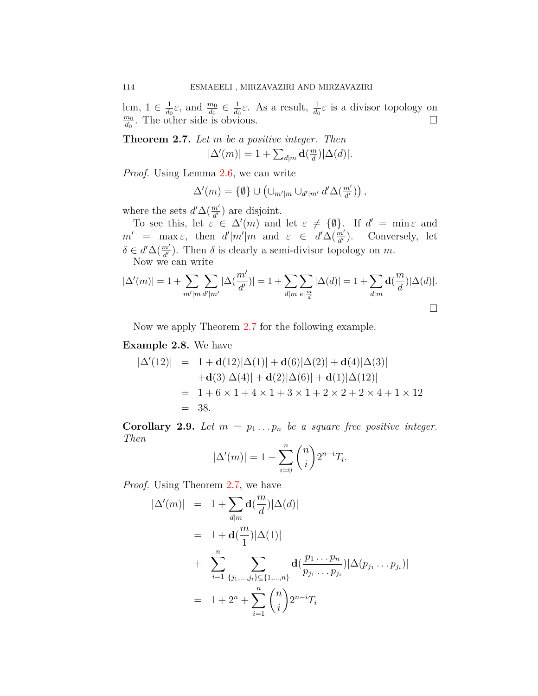lcm,  $1 \in \frac{1}{d_c}$  $\frac{1}{d_0}\varepsilon$ , and  $\frac{m_0}{d_0} \in \frac{1}{d_0}$  $\frac{1}{d_0}$ *ε*. As a result,  $\frac{1}{d_0}$ *ε* is a divisor topology on *m*<sup>0</sup>  $\frac{m_0}{d_0}$ . The other side is obvious. □

<span id="page-3-0"></span>**Theorem 2.7.** *Let m be a positive integer. Then*  $|\Delta'(m)| = 1 + \sum_{d|m}$ **d**( $\frac{m}{d}$  $\frac{m}{d}$ )| $\Delta(d)$ |.

*Proof.* Using Lemma [2.6,](#page-2-0) we can write

$$
\Delta'(m) = \{ \emptyset \} \cup (\cup_{m'|m} \cup_{d'|m'} d'\Delta(\tfrac{m'}{d'})),
$$

where the sets  $d' \Delta(\frac{m'}{d'})$  are disjoint.

To see this, let  $\varepsilon \in \Delta'(m)$  and let  $\varepsilon \neq {\emptyset}$ . If  $d' = \min \varepsilon$  and  $m'$  = max $\varepsilon$ , then  $d'|m'|m$  and  $\varepsilon \in d'\Delta(\frac{m'}{d'})$ . Conversely, let  $\delta \in d' \Delta(\frac{m'}{d'})$ . Then  $\delta$  is clearly a semi-divisor topology on *m*. Now we can write

$$
|\Delta'(m)| = 1 + \sum_{m'|m} \sum_{d'|m'} |\Delta(\frac{m'}{d'})| = 1 + \sum_{d|m} \sum_{e|\frac{m}{d}} |\Delta(d)| = 1 + \sum_{d|m} d(\frac{m}{d}) |\Delta(d)|.
$$

Now we apply Theorem [2.7](#page-3-0) for the following example.

# **Example 2.8.** We have

$$
|\Delta'(12)| = 1 + \mathbf{d}(12)|\Delta(1)| + \mathbf{d}(6)|\Delta(2)| + \mathbf{d}(4)|\Delta(3)|
$$
  
+
$$
\mathbf{d}(3)|\Delta(4)| + \mathbf{d}(2)|\Delta(6)| + \mathbf{d}(1)|\Delta(12)|
$$
  
= 1 + 6 × 1 + 4 × 1 + 3 × 1 + 2 × 2 + 2 × 4 + 1 × 12  
= 38.

**Corollary 2.9.** Let  $m = p_1 \ldots p_n$  be a square free positive integer. *Then*

$$
|\Delta'(m)| = 1 + \sum_{i=0}^{n} \binom{n}{i} 2^{n-i} T_i.
$$

*Proof.* Using Theorem [2.7,](#page-3-0) we have

$$
\begin{aligned}\n|\Delta'(m)| &= 1 + \sum_{d|m} \mathbf{d}(\frac{m}{d}) |\Delta(d)| \\
&= 1 + \mathbf{d}(\frac{m}{1}) |\Delta(1)| \\
&+ \sum_{i=1}^{n} \sum_{\{j_1, \dots, j_i\} \subseteq \{1, \dots, n\}} \mathbf{d}(\frac{p_1 \dots p_n}{p_{j_1} \dots p_{j_i}}) |\Delta(p_{j_1} \dots p_{j_i})| \\
&= 1 + 2^n + \sum_{i=1}^{n} {n \choose i} 2^{n-i} T_i\n\end{aligned}
$$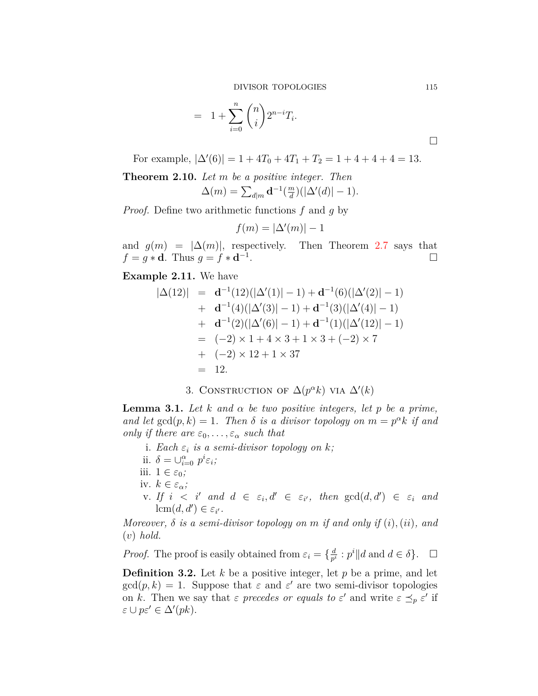DIVISOR TOPOLOGIES 115

$$
= 1 + \sum_{i=0}^{n} {n \choose i} 2^{n-i} T_i.
$$

For example,  $|\Delta'(6)| = 1 + 4T_0 + 4T_1 + T_2 = 1 + 4 + 4 + 4 = 13.$ 

**Theorem 2.10.** *Let m be a positive integer. Then*  $\Delta(m) = \sum_{d|m} \mathbf{d}^{-1}(\frac{m}{d})$  $\frac{m}{d}$ )( $|\Delta'(d)| - 1$ )*.* 

*Proof.* Define two arithmetic functions *f* and *g* by

$$
f(m) = |\Delta'(m)| - 1
$$

and  $g(m) = |\Delta(m)|$ , respectively. Then Theorem [2.7](#page-3-0) says that  $f = g * d$ . Thus  $g = f * d^{-1}$ . □

**Example 2.11.** We have

$$
|\Delta(12)| = d^{-1}(12)(|\Delta'(1)| - 1) + d^{-1}(6)(|\Delta'(2)| - 1) + d^{-1}(4)(|\Delta'(3)| - 1) + d^{-1}(3)(|\Delta'(4)| - 1) + d^{-1}(2)(|\Delta'(6)| - 1) + d^{-1}(1)(|\Delta'(12)| - 1) = (-2) \times 1 + 4 \times 3 + 1 \times 3 + (-2) \times 7 + (-2) \times 12 + 1 \times 37 = 12.
$$

3. CONSTRUCTION OF  $\Delta(p^{\alpha}k)$  VIA  $\Delta'(k)$ 

<span id="page-4-0"></span>**Lemma 3.1.** Let *k* and  $\alpha$  be two positive integers, let *p* be a prime, *and let*  $gcd(p, k) = 1$ *. Then*  $\delta$  *is a divisor topology on*  $m = p^{\alpha}k$  *if and only if there are*  $\varepsilon_0, \ldots, \varepsilon_\alpha$  *such that* 

- i. *Each ε<sup>i</sup> is a semi-divisor topology on k;*
- ii.  $\delta = \bigcup_{i=0}^{\alpha} p^i \varepsilon_i$ ;
- iii.  $1 \in \varepsilon_0$ ;
- iv.  $k \in \varepsilon_\alpha$ ;
- v. If  $i < i'$  and  $d \in \varepsilon_i, d' \in \varepsilon_{i'}$ , then  $gcd(d, d') \in \varepsilon_i$  and lcm $(d, d') \in \varepsilon_{i'}$ .

*Moreover, δ is a semi-divisor topology on m if and only if* (*i*)*,*(*ii*)*, and* (*v*) *hold.*

*Proof.* The proof is easily obtained from  $\varepsilon_i = \{\frac{d}{n^i}\}$  $\frac{d}{p^i}$  :  $p^i$  ||*d* and  $d \in \delta$  }. □

**Definition 3.2.** Let *k* be a positive integer, let *p* be a prime, and let  $gcd(p, k) = 1$ . Suppose that  $\varepsilon$  and  $\varepsilon'$  are two semi-divisor topologies on *k*. Then we say that  $\varepsilon$  precedes or equals to  $\varepsilon'$  and write  $\varepsilon \preceq_p \varepsilon'$  if  $\varepsilon \cup p\varepsilon' \in \Delta'(pk).$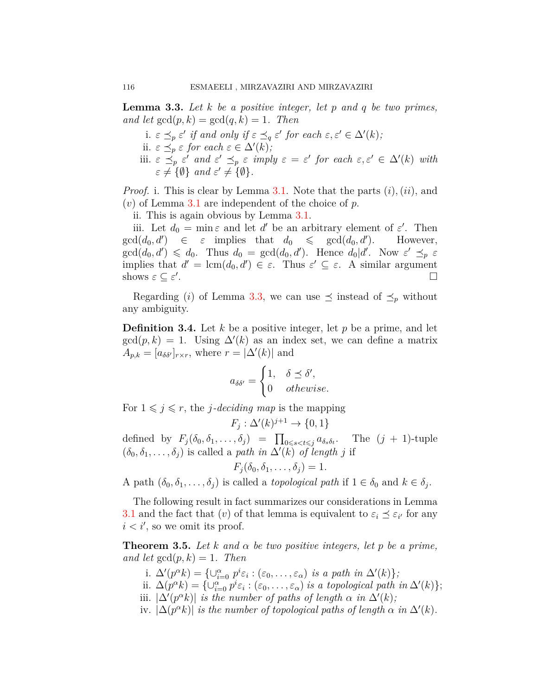<span id="page-5-0"></span>**Lemma 3.3.** *Let k be a positive integer, let p and q be two primes, and let*  $gcd(p, k) = gcd(q, k) = 1$ *. Then* 

i.  $\varepsilon \preceq_p \varepsilon'$  *if and only if*  $\varepsilon \preceq_q \varepsilon'$  *for each*  $\varepsilon, \varepsilon' \in \Delta'(k)$ ; ii.  $\varepsilon \preceq_p \varepsilon$  *for each*  $\varepsilon \in \Delta'(k)$ ; iii.  $\varepsilon \preceq_{p} \varepsilon'$  and  $\varepsilon' \preceq_{p} \varepsilon$  *imply*  $\varepsilon = \varepsilon'$  for each  $\varepsilon, \varepsilon' \in \Delta'(k)$  with  $\varepsilon \neq \{\emptyset\}$  *and*  $\varepsilon' \neq \{\emptyset\}.$ 

*Proof.* i. This is clear by Lemma [3.1](#page-4-0). Note that the parts (*i*)*,*(*ii*), and (*v*) of Lemma [3.1](#page-4-0) are independent of the choice of *p*.

ii. This is again obvious by Lemma [3.1](#page-4-0).

iii. Let  $d_0 = \min \varepsilon$  and let  $d'$  be an arbitrary element of  $\varepsilon'$ . Then  $gcd(d_0, d') \in \varepsilon$  implies that  $d_0 \leq \gcd(d_0, d')$ . However,  $gcd(d_0, d') \leq d_0$ . Thus  $d_0 = gcd(d_0, d')$ . Hence  $d_0 | d'$ . Now  $\varepsilon' \preceq_p \varepsilon$ implies that  $d' = \text{lcm}(d_0, d') \in \varepsilon$ . Thus  $\varepsilon' \subseteq \varepsilon$ . A similar argument shows  $\varepsilon \subseteq \varepsilon'$ . □

Regarding (*i*) of Lemma [3.3,](#page-5-0) we can use  $\preceq$  instead of  $\preceq_p$  without any ambiguity.

**Definition 3.4.** Let *k* be a positive integer, let *p* be a prime, and let  $gcd(p, k) = 1$ . Using  $\Delta'(k)$  as an index set, we can define a matrix  $A_{p,k} = [a_{\delta\delta'}]_{r \times r}$ , where  $r = |\Delta'(k)|$  and

$$
a_{\delta\delta'} = \begin{cases} 1, & \delta \preceq \delta', \\ 0 & otherwise. \end{cases}
$$

For  $1 \leq j \leq r$ , the *j*-deciding map is the mapping

$$
F_j: \Delta'(k)^{j+1} \to \{0, 1\}
$$

defined by  $F_j(\delta_0, \delta_1, \ldots, \delta_j) = \prod_{0 \leq s < t \leq j} a_{\delta_s \delta_t}$ . The  $(j + 1)$ -tuple  $(\delta_0, \delta_1, \ldots, \delta_j)$  is called a *path in*  $\Delta'(k)$  *of length j* if

$$
F_j(\delta_0, \delta_1, \ldots, \delta_j) = 1.
$$

A path  $(\delta_0, \delta_1, \ldots, \delta_j)$  is called a *topological path* if  $1 \in \delta_0$  and  $k \in \delta_j$ .

The following result in fact summarizes our considerations in Lemma [3.1](#page-4-0) and the fact that  $(v)$  of that lemma is equivalent to  $\varepsilon_i \preceq \varepsilon_{i'}$  for any  $i < i'$ , so we omit its proof.

<span id="page-5-1"></span>**Theorem 3.5.** *Let k and α be two positive integers, let p be a prime, and let*  $gcd(p, k) = 1$ *. Then* 

- i.  $\Delta'(p^{\alpha}k) = \{ \cup_{i=0}^{\alpha} p^i \varepsilon_i : (\varepsilon_0, \ldots, \varepsilon_{\alpha}) \text{ is a path in } \Delta'(k) \};$
- ii.  $\Delta(p^{\alpha}k) = {\cup_{i=0}^{\alpha} p^i \varepsilon_i : (\varepsilon_0, \ldots, \varepsilon_{\alpha}) \text{ is a topological path in } \Delta'(k)}$ ;
- iii.  $|\Delta'(p^{\alpha}k)|$  *is the number of paths of length*  $\alpha$  *in*  $\Delta'(k)$ ;
- iv.  $|\Delta(p^{\alpha}k)|$  *is the number of topological paths of length*  $\alpha$  *in*  $\Delta'(k)$ *.*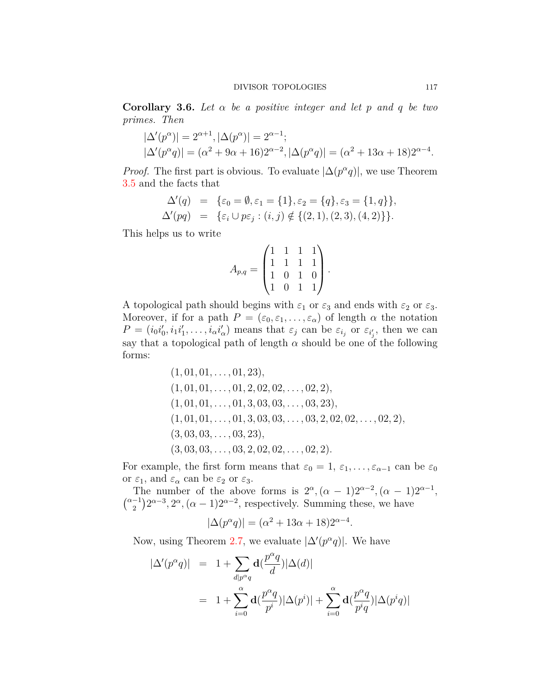**Corollary 3.6.** *Let α be a positive integer and let p and q be two primes. Then*

$$
|\Delta'(p^{\alpha})| = 2^{\alpha+1}, |\Delta(p^{\alpha})| = 2^{\alpha-1};
$$
  

$$
|\Delta'(p^{\alpha}q)| = (\alpha^2 + 9\alpha + 16)2^{\alpha-2}, |\Delta(p^{\alpha}q)| = (\alpha^2 + 13\alpha + 18)2^{\alpha-4}.
$$

*Proof.* The first part is obvious. To evaluate  $|\Delta(p^{\alpha}q)|$ , we use Theorem [3.5](#page-5-1) and the facts that

$$
\Delta'(q) = \{ \varepsilon_0 = \emptyset, \varepsilon_1 = \{1\}, \varepsilon_2 = \{q\}, \varepsilon_3 = \{1, q\} \}, \n\Delta'(pq) = \{ \varepsilon_i \cup p\varepsilon_j : (i, j) \notin \{ (2, 1), (2, 3), (4, 2) \} \}.
$$

This helps us to write

$$
A_{p,q} = \begin{pmatrix} 1 & 1 & 1 & 1 \\ 1 & 1 & 1 & 1 \\ 1 & 0 & 1 & 0 \\ 1 & 0 & 1 & 1 \end{pmatrix}.
$$

A topological path should begins with  $\varepsilon_1$  or  $\varepsilon_3$  and ends with  $\varepsilon_2$  or  $\varepsilon_3$ . Moreover, if for a path  $P = (\varepsilon_0, \varepsilon_1, \dots, \varepsilon_\alpha)$  of length  $\alpha$  the notation  $P = (i_0 i'_0, i_1 i'_1, \ldots, i_\alpha i'_\alpha)$  means that  $\varepsilon_j$  can be  $\varepsilon_{i_j}$  or  $\varepsilon_{i'_j}$ , then we can say that a topological path of length  $\alpha$  should be one of the following forms:

$$
(1, 01, 01, \ldots, 01, 23),(1, 01, 01, \ldots, 01, 2, 02, 02, \ldots, 02, 2),(1, 01, 01, \ldots, 01, 3, 03, 03, \ldots, 03, 23),(1, 01, 01, \ldots, 01, 3, 03, 03, \ldots, 03, 2, 02, 02, \ldots, 02, 2),(3, 03, 03, \ldots, 03, 23),(3, 03, 03, \ldots, 03, 2, 02, 02, \ldots, 02, 2).
$$

For example, the first form means that  $\varepsilon_0 = 1, \varepsilon_1, \ldots, \varepsilon_{\alpha-1}$  can be  $\varepsilon_0$ or *ε*1, and *ε<sup>α</sup>* can be *ε*<sup>2</sup> or *ε*3.

The number of the above forms is  $2^{\alpha}$ ,  $(\alpha - 1)2^{\alpha - 2}$ ,  $(\alpha - 1)2^{\alpha - 1}$ ,  $\binom{\alpha-1}{2}$  $\binom{-1}{2} 2^{\alpha-3}$ ,  $2^{\alpha}$ ,  $(\alpha - 1) 2^{\alpha-2}$ , respectively. Summing these, we have

$$
|\Delta(p^{\alpha}q)| = (\alpha^2 + 13\alpha + 18)2^{\alpha-4}.
$$

Now, using Theorem [2.7](#page-3-0), we evaluate  $|\Delta'(p^{\alpha}q)|$ . We have

$$
\begin{array}{lcl} |\Delta'(p^{\alpha}q)|&=&1+\displaystyle\sum_{d|p^{\alpha}q} \mathbf{d}(\frac{p^{\alpha}q}{d})|\Delta(d)|\\&=&1+\displaystyle\sum_{i=0}^{\alpha} \mathbf{d}(\frac{p^{\alpha}q}{p^i})|\Delta(p^i)|+\displaystyle\sum_{i=0}^{\alpha} \mathbf{d}(\frac{p^{\alpha}q}{p^iq})|\Delta(p^iq)| \end{array}
$$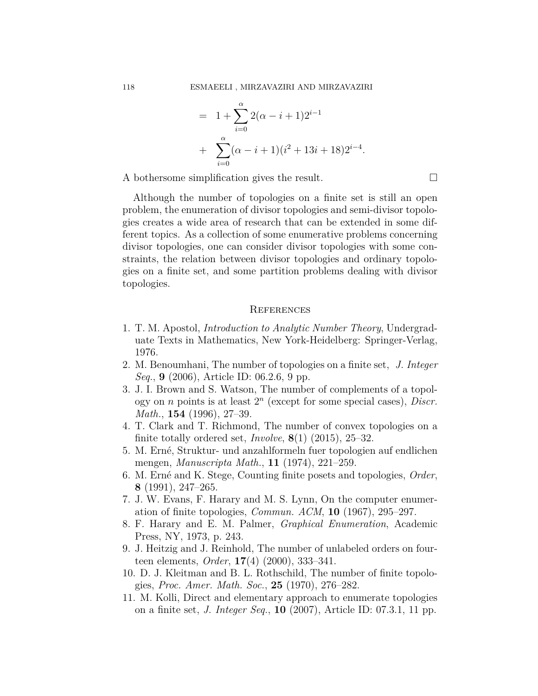$$
= 1 + \sum_{i=0}^{\alpha} 2(\alpha - i + 1)2^{i-1}
$$
  
+ 
$$
\sum_{i=0}^{\alpha} (\alpha - i + 1)(i^{2} + 13i + 18)2^{i-4}.
$$

A bothersome simplification gives the result.  $\Box$ 

Although the number of topologies on a finite set is still an open problem, the enumeration of divisor topologies and semi-divisor topologies creates a wide area of research that can be extended in some different topics. As a collection of some enumerative problems concerning divisor topologies, one can consider divisor topologies with some constraints, the relation between divisor topologies and ordinary topologies on a finite set, and some partition problems dealing with divisor topologies.

# **REFERENCES**

- <span id="page-7-1"></span>1. T. M. Apostol, *Introduction to Analytic Number Theory*, Undergraduate Texts in Mathematics, New York-Heidelberg: Springer-Verlag, 1976.
- <span id="page-7-0"></span>2. M. Benoumhani, The number of topologies on a finite set, *J. Integer Seq.*, **9** (2006), Article ID: 06.2.6, 9 pp.
- 3. J. I. Brown and S. Watson, The number of complements of a topology on *n* points is at least 2 *n* (except for some special cases), *Discr. Math.*, **154** (1996), 27–39.
- 4. T. Clark and T. Richmond, The number of convex topologies on a finite totally ordered set, *Involve*, **8**(1) (2015), 25–32.
- 5. M. Erné, Struktur- und anzahlformeln fuer topologien auf endlichen mengen, *Manuscripta Math.*, **11** (1974), 221–259.
- 6. M. Erné and K. Stege, Counting finite posets and topologies, *Order*, **8** (1991), 247–265.
- 7. J. W. Evans, F. Harary and M. S. Lynn, On the computer enumeration of finite topologies, *Commun. ACM*, **10** (1967), 295–297.
- 8. F. Harary and E. M. Palmer, *Graphical Enumeration*, Academic Press, NY, 1973, p. 243.
- 9. J. Heitzig and J. Reinhold, The number of unlabeled orders on fourteen elements, *Order*, **17**(4) (2000), 333–341.
- 10. D. J. Kleitman and B. L. Rothschild, The number of finite topologies, *Proc. Amer. Math. Soc.*, **25** (1970), 276–282.
- 11. M. Kolli, Direct and elementary approach to enumerate topologies on a finite set, *J. Integer Seq.*, **10** (2007), Article ID: 07.3.1, 11 pp.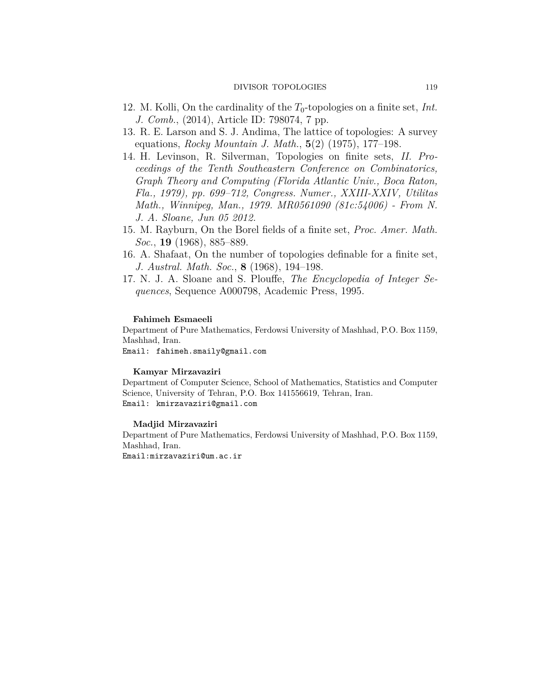#### DIVISOR TOPOLOGIES 119

- <span id="page-8-1"></span>12. M. Kolli, On the cardinality of the  $T_0$ -topologies on a finite set, *Int*. *J. Comb.*, (2014), Article ID: 798074, 7 pp.
- <span id="page-8-4"></span>13. R. E. Larson and S. J. Andima, The lattice of topologies: A survey equations, *Rocky Mountain J. Math.*, **5**(2) (1975), 177–198.
- <span id="page-8-2"></span>14. H. Levinson, R. Silverman, Topologies on finite sets, *II. Proceedings of the Tenth Southeastern Conference on Combinatorics, Graph Theory and Computing (Florida Atlantic Univ., Boca Raton, Fla., 1979), pp. 699–712, Congress. Numer., XXIII-XXIV, Utilitas Math., Winnipeg, Man., 1979. MR0561090 (81c:54006) - From N. J. A. Sloane, Jun 05 2012.*
- <span id="page-8-3"></span>15. M. Rayburn, On the Borel fields of a finite set, *Proc. Amer. Math. Soc.*, **19** (1968), 885–889.
- 16. A. Shafaat, On the number of topologies definable for a finite set, *J. Austral. Math. Soc.*, **8** (1968), 194–198.
- <span id="page-8-0"></span>17. N. J. A. Sloane and S. Plouffe, *The Encyclopedia of Integer Sequences*, Sequence A000798, Academic Press, 1995.

#### **Fahimeh Esmaeeli**

Department of Pure Mathematics, Ferdowsi University of Mashhad, P.O. Box 1159, Mashhad, Iran.

Email: fahimeh.smaily@gmail.com

#### **Kamyar Mirzavaziri**

Department of Computer Science, School of Mathematics, Statistics and Computer Science, University of Tehran, P.O. Box 141556619, Tehran, Iran. Email: kmirzavaziri@gmail.com

#### **Madjid Mirzavaziri**

Department of Pure Mathematics, Ferdowsi University of Mashhad, P.O. Box 1159, Mashhad, Iran. Email:mirzavaziri@um.ac.ir